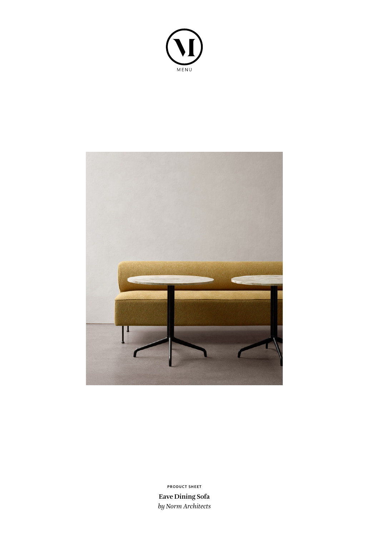



**Eave Dining Sofa** *by Norm Architects* **PRODUCT SHEET**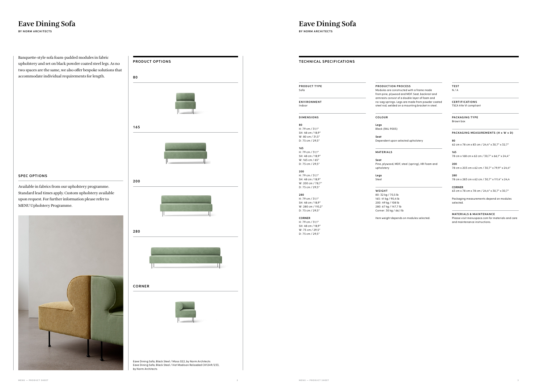**MENU — PRODUCT SHEET 2 MENU — PRODUCT SHEET 3**

Banquette-style sofa foam-padded modules in fabric upholstery and set on black powder coated steel legs. As no two spaces are the same, we also offer bespoke solutions that accommodate individual requirements for length.

| <b>ENVIRONMENT</b><br>Indoor<br><b>DIMENSIONS</b><br>80<br>H: 79 cm / 31,1"<br>SH: 48 cm / 18,9"<br>W: 80 cm / 31,5"<br>D: 75 cm / 29,5"<br>165<br>H: 79 cm / 31,1"<br>SH: 48 cm / 18,9"<br>W: 165 cm / 65"<br>D: 75 cm / 29,5"<br>200<br>H: 79 cm / 31,1"<br>SH: 48 cm / 18,9"<br>W: 200 cm / 78,7"<br>D: 75 cm / 29,5"<br>280<br>H: 79 cm / 31,1"<br>SH: 48 cm / 18,9"<br>W: 280 cm / 110,2"<br>D: 75 cm / 29,5"<br><b>CORNER</b><br>H: 79 cm / 31,1"<br>SH: 48 cm / 18,9"<br>W: 75 cm / 29,5"<br>D: 75 cm / 29,5" |  | <b>PRODUCT TYPE</b><br>Sofa |
|----------------------------------------------------------------------------------------------------------------------------------------------------------------------------------------------------------------------------------------------------------------------------------------------------------------------------------------------------------------------------------------------------------------------------------------------------------------------------------------------------------------------|--|-----------------------------|
|                                                                                                                                                                                                                                                                                                                                                                                                                                                                                                                      |  |                             |
|                                                                                                                                                                                                                                                                                                                                                                                                                                                                                                                      |  |                             |
|                                                                                                                                                                                                                                                                                                                                                                                                                                                                                                                      |  |                             |
|                                                                                                                                                                                                                                                                                                                                                                                                                                                                                                                      |  |                             |
|                                                                                                                                                                                                                                                                                                                                                                                                                                                                                                                      |  |                             |
|                                                                                                                                                                                                                                                                                                                                                                                                                                                                                                                      |  |                             |
|                                                                                                                                                                                                                                                                                                                                                                                                                                                                                                                      |  |                             |
|                                                                                                                                                                                                                                                                                                                                                                                                                                                                                                                      |  |                             |
|                                                                                                                                                                                                                                                                                                                                                                                                                                                                                                                      |  |                             |
|                                                                                                                                                                                                                                                                                                                                                                                                                                                                                                                      |  |                             |
|                                                                                                                                                                                                                                                                                                                                                                                                                                                                                                                      |  |                             |
|                                                                                                                                                                                                                                                                                                                                                                                                                                                                                                                      |  |                             |
|                                                                                                                                                                                                                                                                                                                                                                                                                                                                                                                      |  |                             |
|                                                                                                                                                                                                                                                                                                                                                                                                                                                                                                                      |  |                             |
|                                                                                                                                                                                                                                                                                                                                                                                                                                                                                                                      |  |                             |
|                                                                                                                                                                                                                                                                                                                                                                                                                                                                                                                      |  |                             |
|                                                                                                                                                                                                                                                                                                                                                                                                                                                                                                                      |  |                             |
|                                                                                                                                                                                                                                                                                                                                                                                                                                                                                                                      |  |                             |
|                                                                                                                                                                                                                                                                                                                                                                                                                                                                                                                      |  |                             |
|                                                                                                                                                                                                                                                                                                                                                                                                                                                                                                                      |  |                             |
|                                                                                                                                                                                                                                                                                                                                                                                                                                                                                                                      |  |                             |
|                                                                                                                                                                                                                                                                                                                                                                                                                                                                                                                      |  |                             |
|                                                                                                                                                                                                                                                                                                                                                                                                                                                                                                                      |  |                             |
|                                                                                                                                                                                                                                                                                                                                                                                                                                                                                                                      |  |                             |
|                                                                                                                                                                                                                                                                                                                                                                                                                                                                                                                      |  |                             |
|                                                                                                                                                                                                                                                                                                                                                                                                                                                                                                                      |  |                             |
|                                                                                                                                                                                                                                                                                                                                                                                                                                                                                                                      |  |                             |
|                                                                                                                                                                                                                                                                                                                                                                                                                                                                                                                      |  |                             |
|                                                                                                                                                                                                                                                                                                                                                                                                                                                                                                                      |  |                             |
|                                                                                                                                                                                                                                                                                                                                                                                                                                                                                                                      |  |                             |
|                                                                                                                                                                                                                                                                                                                                                                                                                                                                                                                      |  |                             |
|                                                                                                                                                                                                                                                                                                                                                                                                                                                                                                                      |  |                             |
|                                                                                                                                                                                                                                                                                                                                                                                                                                                                                                                      |  |                             |
|                                                                                                                                                                                                                                                                                                                                                                                                                                                                                                                      |  |                             |
|                                                                                                                                                                                                                                                                                                                                                                                                                                                                                                                      |  |                             |
|                                                                                                                                                                                                                                                                                                                                                                                                                                                                                                                      |  |                             |
|                                                                                                                                                                                                                                                                                                                                                                                                                                                                                                                      |  |                             |
|                                                                                                                                                                                                                                                                                                                                                                                                                                                                                                                      |  |                             |
|                                                                                                                                                                                                                                                                                                                                                                                                                                                                                                                      |  |                             |
|                                                                                                                                                                                                                                                                                                                                                                                                                                                                                                                      |  |                             |

80: 32 kg / 70,5 lb 165: 41 kg / 90,4 lb 200: 49 kg / 108 lb 280: 67 kg / 147,7 lb  $\therefore$  30 kg / 66,1 lb

reight depends on modules selected.

#### **PRODUCTION PROCESS**

lles are constructed with a frame made pine, plywood and MDF. Seat, backrest and  $\frac{1}{2}$ ests consist of a double layer of foam and g springs. Legs are made from powder coated s<br>od, welded on a mounting bracket in steel.

| 80            |   |
|---------------|---|
|               | I |
| 165           |   |
|               | 1 |
| 200           |   |
|               |   |
| 280           |   |
|               |   |
| <b>CORNER</b> |   |
|               |   |
|               |   |

# **Eave Dining Sofa**<br>BY NORM ARCHITECTS<br>BY NORM ARCHITECTS

Black (RAL 9005)

dent upon selected upholstery

#### **ERIALS**

lywood, MDF, steel (spring), HR Foam and tery

**TEST** N / A

#### **C E RT I F I CAT I O N S** TSCA title VI compliant

**PACKAGING TYPE** Brown box

#### **PACKAGING MEASUREMENTS (H x W x D)**

**80** 62 cm x 78 cm x 83 cm / 24,4" x 30,7" x 32,7"

**165**

78 cm x 168 cm x 62 cm / 30,7" x 66,1" x 24,4"

**200** 78 cm x 203 cm x 62 cm / 30,7" x 79,9" x 24,4"

**280** 78 cm x 283 cm x 62 cm / 30,7" x 111,4" x 24,4

**CORNER** 63 cm x 78 cm x 78 cm / 24,4" x 30,7" x 30,7"

Packaging measurements depend on modules selected.

#### **MATERIALS & MAINTENANCE**

Please visit menuspace.com for materials and care and maintenance instructions.

### **SPEC OPTIONS**

Available in fabrics from our upholstery programme. Standard lead times apply. Custom upholstery available upon request. For further information please refer to MENU Upholstery Programme.



**BY NORM ARCHITECTS BY NORM ARCHITECTS**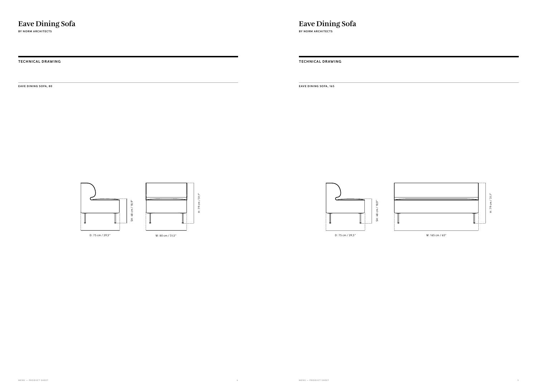**TECHNICAL DRAWING TECHNICAL DRAWING**

**Eave Dining Sofa BY NORM ARCHITECTS**

**BY NORM ARCHITECTS**

**EAVE DINING SOFA, 80 EAVE DINING SOFA, 165** 





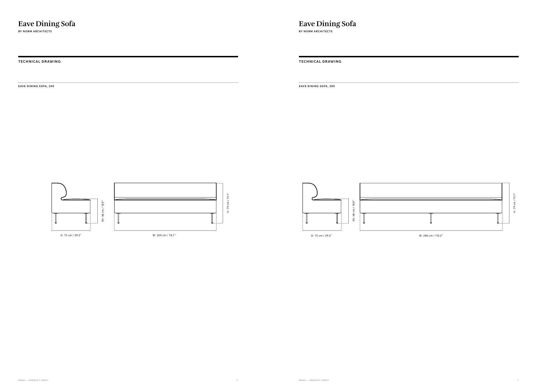**TECHNICAL DRAWING TECHNICAL DRAWING**

**Eave Dining Sofa**

**BY NORM ARCHITECTS**

**BY NORM ARCHITECTS**

**EAVE DINING SOFA, 200 EAVE DINING SOFA, 280**